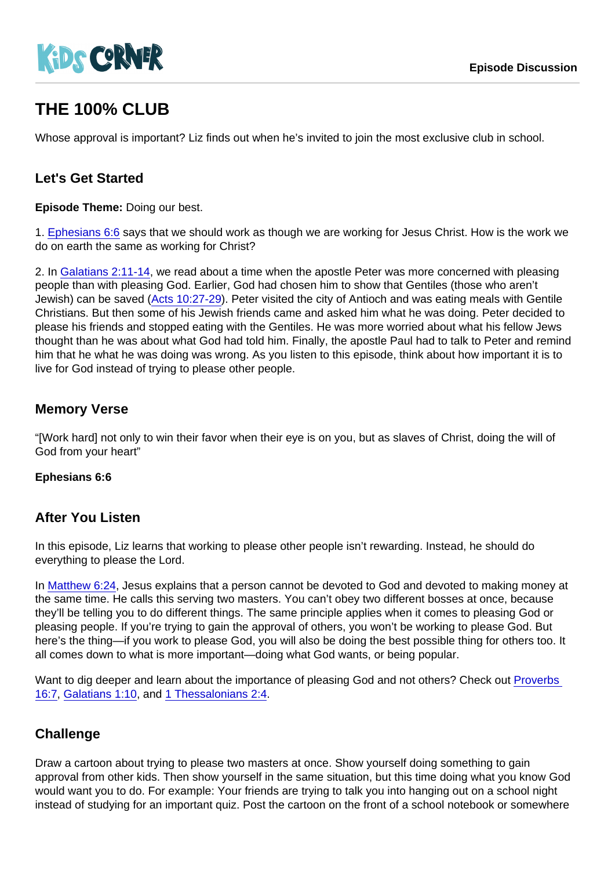# THE 100% CLUB

Whose approval is important? Liz finds out when he's invited to join the most exclusive club in school.

### Let's Get Started

Episode Theme: Doing our best.

1. [Ephesians 6:6](https://www.biblegateway.com/passage/?search=Ephesians+6:6) says that we should work as though we are working for Jesus Christ. How is the work we do on earth the same as working for Christ?

2. In [Galatians 2:11-14](https://www.biblegateway.com/passage/?search=Galatians+2:11-14), we read about a time when the apostle Peter was more concerned with pleasing people than with pleasing God. Earlier, God had chosen him to show that Gentiles (those who aren't Jewish) can be saved ([Acts 10:27-29](https://www.biblegateway.com/passage/?search=Acts+10:27-29)). Peter visited the city of Antioch and was eating meals with Gentile Christians. But then some of his Jewish friends came and asked him what he was doing. Peter decided to please his friends and stopped eating with the Gentiles. He was more worried about what his fellow Jews thought than he was about what God had told him. Finally, the apostle Paul had to talk to Peter and remind him that he what he was doing was wrong. As you listen to this episode, think about how important it is to live for God instead of trying to please other people.

#### Memory Verse

"[Work hard] not only to win their favor when their eye is on you, but as slaves of Christ, doing the will of God from your heart"

Ephesians 6:6

#### After You Listen

In this episode, Liz learns that working to please other people isn't rewarding. Instead, he should do everything to please the Lord.

In [Matthew 6:24](https://www.biblegateway.com/passage/?search=Matthew+6:24), Jesus explains that a person cannot be devoted to God and devoted to making money at the same time. He calls this serving two masters. You can't obey two different bosses at once, because they'll be telling you to do different things. The same principle applies when it comes to pleasing God or pleasing people. If you're trying to gain the approval of others, you won't be working to please God. But here's the thing—if you work to please God, you will also be doing the best possible thing for others too. It all comes down to what is more important—doing what God wants, or being popular.

Want to dig deeper and learn about the importance of pleasing God and not others? Check out [Proverbs](https://www.biblegateway.com/passage/?search=Proverbs+16:7)  [16:7](https://www.biblegateway.com/passage/?search=Proverbs+16:7), [Galatians 1:10](https://www.biblegateway.com/passage/?search=Galatians+1:10), and [1 Thessalonians 2:4](https://www.biblegateway.com/passage/?search=1+Thessalonians+2:4).

#### **Challenge**

Draw a cartoon about trying to please two masters at once. Show yourself doing something to gain approval from other kids. Then show yourself in the same situation, but this time doing what you know God would want you to do. For example: Your friends are trying to talk you into hanging out on a school night instead of studying for an important quiz. Post the cartoon on the front of a school notebook or somewhere